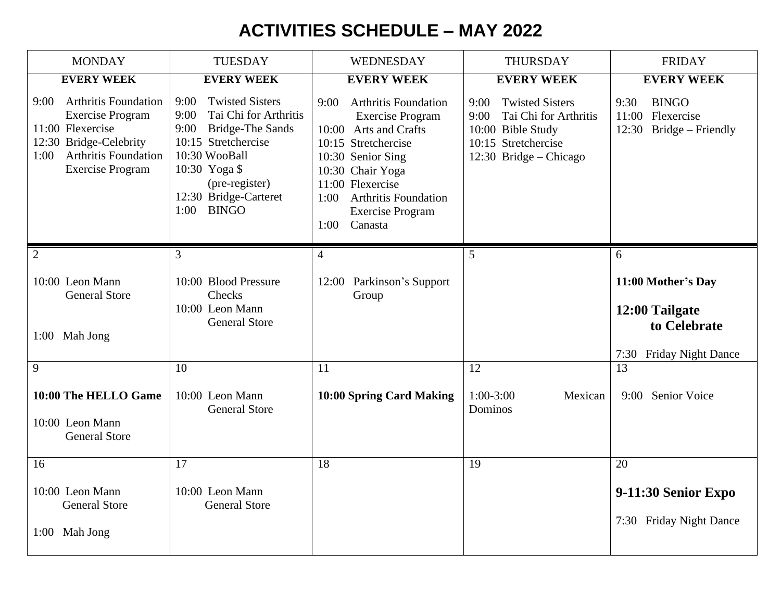## **ACTIVITIES SCHEDULE – MAY 2022**

| <b>MONDAY</b>                                                                                                                                                                  | <b>TUESDAY</b>                                                                                                                                                                                                       | WEDNESDAY                                                                                                                                                                                                                                                        | <b>THURSDAY</b>                                                                                                                       | <b>FRIDAY</b>                                                                   |
|--------------------------------------------------------------------------------------------------------------------------------------------------------------------------------|----------------------------------------------------------------------------------------------------------------------------------------------------------------------------------------------------------------------|------------------------------------------------------------------------------------------------------------------------------------------------------------------------------------------------------------------------------------------------------------------|---------------------------------------------------------------------------------------------------------------------------------------|---------------------------------------------------------------------------------|
| <b>EVERY WEEK</b>                                                                                                                                                              | <b>EVERY WEEK</b>                                                                                                                                                                                                    | <b>EVERY WEEK</b>                                                                                                                                                                                                                                                | <b>EVERY WEEK</b>                                                                                                                     | <b>EVERY WEEK</b>                                                               |
| <b>Arthritis Foundation</b><br>9:00<br><b>Exercise Program</b><br>11:00 Flexercise<br>12:30 Bridge-Celebrity<br><b>Arthritis Foundation</b><br>1:00<br><b>Exercise Program</b> | <b>Twisted Sisters</b><br>9:00<br>9:00<br>Tai Chi for Arthritis<br>9:00<br><b>Bridge-The Sands</b><br>10:15 Stretchercise<br>10:30 WooBall<br>10:30 Yoga \$<br>(pre-register)<br>12:30 Bridge-Carteret<br>1:00 BINGO | 9:00<br><b>Arthritis Foundation</b><br><b>Exercise Program</b><br>10:00 Arts and Crafts<br>10:15 Stretchercise<br>10:30 Senior Sing<br>10:30 Chair Yoga<br>11:00 Flexercise<br><b>Arthritis Foundation</b><br>1:00<br><b>Exercise Program</b><br>Canasta<br>1:00 | <b>Twisted Sisters</b><br>9:00<br>9:00<br>Tai Chi for Arthritis<br>10:00 Bible Study<br>10:15 Stretchercise<br>12:30 Bridge - Chicago | <b>BINGO</b><br>9:30<br>11:00 Flexercise<br>$12:30$ Bridge – Friendly           |
| $\overline{2}$                                                                                                                                                                 | 3                                                                                                                                                                                                                    | $\overline{4}$                                                                                                                                                                                                                                                   | 5                                                                                                                                     | 6                                                                               |
| 10:00 Leon Mann<br><b>General Store</b><br>1:00 Mah Jong                                                                                                                       | 10:00 Blood Pressure<br>Checks<br>10:00 Leon Mann<br><b>General Store</b>                                                                                                                                            | 12:00 Parkinson's Support<br>Group                                                                                                                                                                                                                               |                                                                                                                                       | 11:00 Mother's Day<br>12:00 Tailgate<br>to Celebrate<br>7:30 Friday Night Dance |
| 9                                                                                                                                                                              | 10                                                                                                                                                                                                                   | 11                                                                                                                                                                                                                                                               | 12                                                                                                                                    | 13                                                                              |
| 10:00 The HELLO Game<br>10:00 Leon Mann<br><b>General Store</b>                                                                                                                | 10:00 Leon Mann<br><b>General Store</b>                                                                                                                                                                              | 10:00 Spring Card Making                                                                                                                                                                                                                                         | $1:00-3:00$<br>Mexican<br>Dominos                                                                                                     | 9:00 Senior Voice                                                               |
| 16                                                                                                                                                                             | 17                                                                                                                                                                                                                   | 18                                                                                                                                                                                                                                                               | 19                                                                                                                                    | 20                                                                              |
| 10:00 Leon Mann<br><b>General Store</b><br>1:00 Mah Jong                                                                                                                       | 10:00 Leon Mann<br><b>General Store</b>                                                                                                                                                                              |                                                                                                                                                                                                                                                                  |                                                                                                                                       | 9-11:30 Senior Expo<br>7:30 Friday Night Dance                                  |